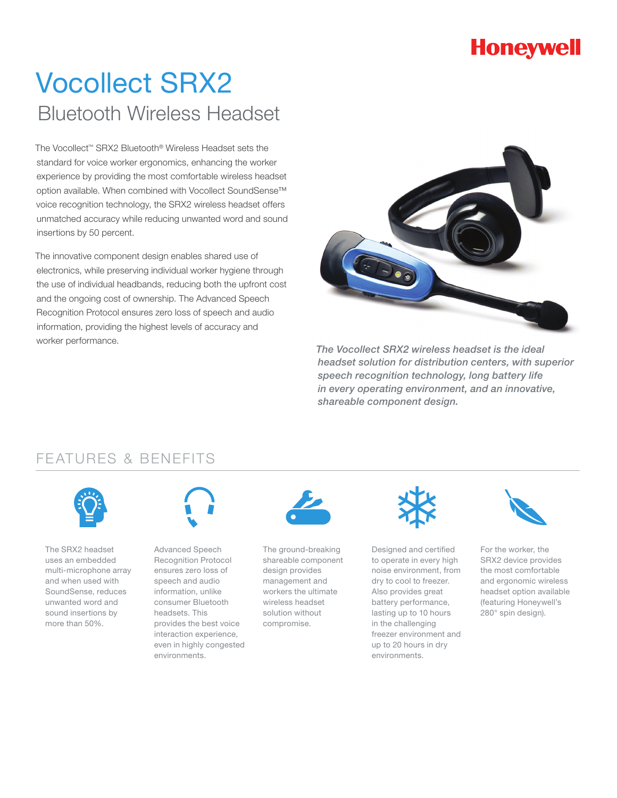## **Honeywell**

# Vocollect SRX2 Bluetooth Wireless Headset

The Vocollect™ SRX2 Bluetooth® Wireless Headset sets the standard for voice worker ergonomics, enhancing the worker experience by providing the most comfortable wireless headset option available. When combined with Vocollect SoundSense™ voice recognition technology, the SRX2 wireless headset offers unmatched accuracy while reducing unwanted word and sound insertions by 50 percent.

The innovative component design enables shared use of electronics, while preserving individual worker hygiene through the use of individual headbands, reducing both the upfront cost and the ongoing cost of ownership. The Advanced Speech Recognition Protocol ensures zero loss of speech and audio information, providing the highest levels of accuracy and worker performance.



*The Vocollect SRX2 wireless headset is the ideal headset solution for distribution centers, with superior speech recognition technology, long battery life in every operating environment, and an innovative, shareable component design.*

#### FEATURES & BENEFITS



The SRX2 headset uses an embedded multi-microphone array and when used with SoundSense, reduces unwanted word and sound insertions by more than 50%.



Advanced Speech Recognition Protocol ensures zero loss of speech and audio information, unlike consumer Bluetooth headsets. This provides the best voice interaction experience, even in highly congested environments.



The ground-breaking shareable component design provides management and workers the ultimate wireless headset solution without compromise.



Designed and certified to operate in every high noise environment, from dry to cool to freezer. Also provides great battery performance, lasting up to 10 hours in the challenging freezer environment and up to 20 hours in dry environments.



For the worker, the SRX2 device provides the most comfortable and ergonomic wireless headset option available (featuring Honeywell's 280° spin design).